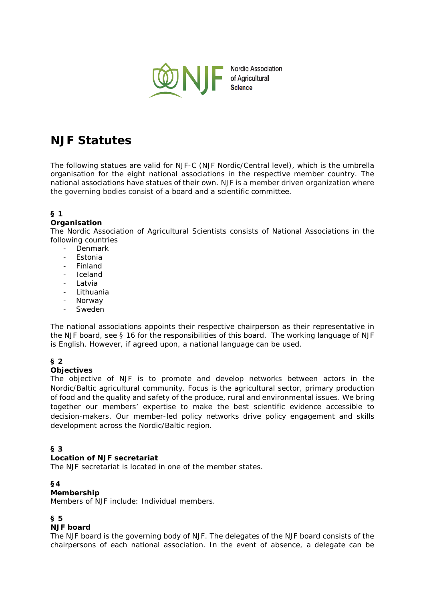

# **NJF Statutes**

The following statues are valid for NJF-C (NJF Nordic/Central level), which is the umbrella organisation for the eight national associations in the respective member country. The national associations have statues of their own. NJF is a member driven organization where the governing bodies consist of a board and a scientific committee.

# **§ 1**

## **Organisation**

The Nordic Association of Agricultural Scientists consists of National Associations in the following countries

- Denmark
- **Estonia**
- Finland
- **Iceland**
- Latvia
- Lithuania
- **Norway**
- Sweden

The national associations appoints their respective chairperson as their representative in the NJF board, see § 16 for the responsibilities of this board. The working language of NJF is English. However, if agreed upon, a national language can be used.

# **§ 2**

# **Objectives**

The objective of NJF is to promote and develop networks between actors in the Nordic/Baltic agricultural community. Focus is the agricultural sector, primary production of food and the quality and safety of the produce, rural and environmental issues. We bring together our members' expertise to make the best scientific evidence accessible to decision-makers. Our member-led policy networks drive policy engagement and skills development across the Nordic/Baltic region.

# **§ 3**

## **Location of NJF secretariat**

The NJF secretariat is located in one of the member states.

## **§4**

## **Membership**

Members of NJF include: Individual members.

## **§ 5**

## **NJF board**

The NJF board is the governing body of NJF. The delegates of the NJF board consists of the chairpersons of each national association. In the event of absence, a delegate can be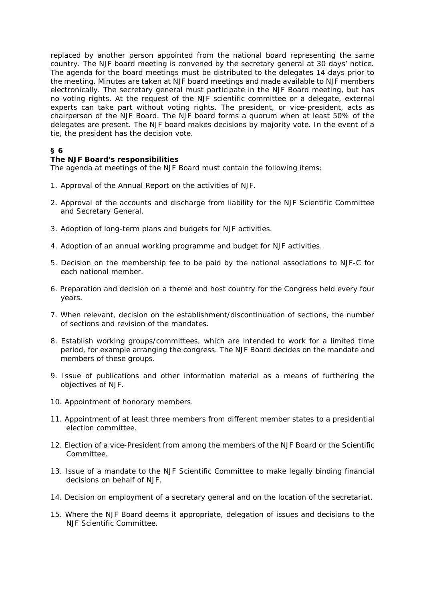replaced by another person appointed from the national board representing the same country. The NJF board meeting is convened by the secretary general at 30 days' notice. The agenda for the board meetings must be distributed to the delegates 14 days prior to the meeting. Minutes are taken at NJF board meetings and made available to NJF members electronically. The secretary general must participate in the NJF Board meeting, but has no voting rights. At the request of the NJF scientific committee or a delegate, external experts can take part without voting rights. The president, or vice-president, acts as chairperson of the NJF Board. The NJF board forms a quorum when at least 50% of the delegates are present. The NJF board makes decisions by majority vote. In the event of a tie, the president has the decision vote.

# **§ 6**

## **The NJF Board's responsibilities**

The agenda at meetings of the NJF Board must contain the following items:

- 1. Approval of the Annual Report on the activities of NJF.
- 2. Approval of the accounts and discharge from liability for the NJF Scientific Committee and Secretary General.
- 3. Adoption of long-term plans and budgets for NJF activities.
- 4. Adoption of an annual working programme and budget for NJF activities.
- 5. Decision on the membership fee to be paid by the national associations to NJF-C for each national member.
- 6. Preparation and decision on a theme and host country for the Congress held every four years.
- 7. When relevant, decision on the establishment/discontinuation of sections, the number of sections and revision of the mandates.
- 8. Establish working groups/committees, which are intended to work for a limited time period, for example arranging the congress. The NJF Board decides on the mandate and members of these groups.
- 9. Issue of publications and other information material as a means of furthering the objectives of NJF.
- 10. Appointment of honorary members.
- 11. Appointment of at least three members from different member states to a presidential election committee.
- 12. Election of a vice-President from among the members of the NJF Board or the Scientific Committee.
- 13. Issue of a mandate to the NJF Scientific Committee to make legally binding financial decisions on behalf of NJF.
- 14. Decision on employment of a secretary general and on the location of the secretariat.
- 15. Where the NJF Board deems it appropriate, delegation of issues and decisions to the NJF Scientific Committee.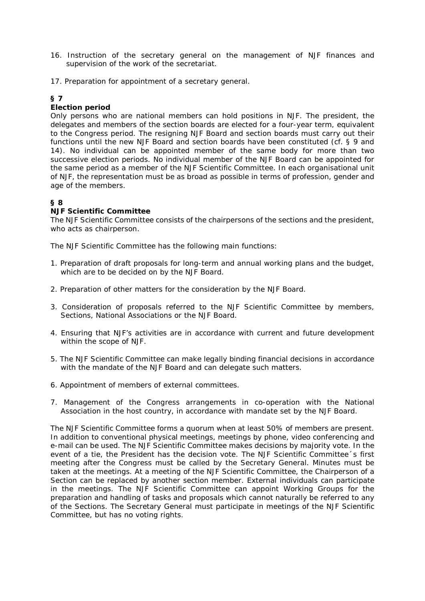- 16. Instruction of the secretary general on the management of NJF finances and supervision of the work of the secretariat.
- 17. Preparation for appointment of a secretary general.

# **§ 7**

## **Election period**

Only persons who are national members can hold positions in NJF. The president, the delegates and members of the section boards are elected for a four-year term, equivalent to the Congress period. The resigning NJF Board and section boards must carry out their functions until the new NJF Board and section boards have been constituted (cf. § 9 and 14). No individual can be appointed member of the same body for more than two successive election periods. No individual member of the NJF Board can be appointed for the same period as a member of the NJF Scientific Committee. In each organisational unit of NJF, the representation must be as broad as possible in terms of profession, gender and age of the members.

# **§ 8**

## **NJF Scientific Committee**

The NJF Scientific Committee consists of the chairpersons of the sections and the president, who acts as chairperson.

The NJF Scientific Committee has the following main functions:

- 1. Preparation of draft proposals for long-term and annual working plans and the budget, which are to be decided on by the NJF Board.
- 2. Preparation of other matters for the consideration by the NJF Board.
- 3. Consideration of proposals referred to the NJF Scientific Committee by members, Sections, National Associations or the NJF Board.
- 4. Ensuring that NJF's activities are in accordance with current and future development within the scope of NJF.
- 5. The NJF Scientific Committee can make legally binding financial decisions in accordance with the mandate of the NJF Board and can delegate such matters.
- 6. Appointment of members of external committees.
- 7. Management of the Congress arrangements in co-operation with the National Association in the host country, in accordance with mandate set by the NJF Board.

The NJF Scientific Committee forms a quorum when at least 50% of members are present. In addition to conventional physical meetings, meetings by phone, video conferencing and e-mail can be used. The NJF Scientific Committee makes decisions by majority vote. In the event of a tie, the President has the decision vote. The NJF Scientific Committee´s first meeting after the Congress must be called by the Secretary General. Minutes must be taken at the meetings. At a meeting of the NJF Scientific Committee, the Chairperson of a Section can be replaced by another section member. External individuals can participate in the meetings. The NJF Scientific Committee can appoint Working Groups for the preparation and handling of tasks and proposals which cannot naturally be referred to any of the Sections. The Secretary General must participate in meetings of the NJF Scientific Committee, but has no voting rights.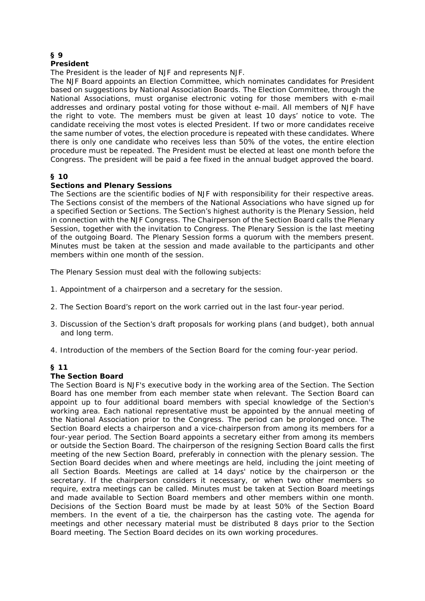#### **§ 9 President**

The President is the leader of NJF and represents NJF.

The NJF Board appoints an Election Committee, which nominates candidates for President based on suggestions by National Association Boards. The Election Committee, through the National Associations, must organise electronic voting for those members with e-mail addresses and ordinary postal voting for those without e-mail. All members of NJF have the right to vote. The members must be given at least 10 days' notice to vote. The candidate receiving the most votes is elected President. If two or more candidates receive the same number of votes, the election procedure is repeated with these candidates. Where there is only one candidate who receives less than 50% of the votes, the entire election procedure must be repeated. The President must be elected at least one month before the Congress. The president will be paid a fee fixed in the annual budget approved the board.

# **§ 10**

## **Sections and Plenary Sessions**

The Sections are the scientific bodies of NJF with responsibility for their respective areas. The Sections consist of the members of the National Associations who have signed up for a specified Section or Sections. The Section's highest authority is the Plenary Session, held in connection with the NJF Congress. The Chairperson of the Section Board calls the Plenary Session, together with the invitation to Congress. The Plenary Session is the last meeting of the outgoing Board. The Plenary Session forms a quorum with the members present. Minutes must be taken at the session and made available to the participants and other members within one month of the session.

The Plenary Session must deal with the following subjects:

- 1. Appointment of a chairperson and a secretary for the session.
- 2. The Section Board's report on the work carried out in the last four-year period.
- 3. Discussion of the Section's draft proposals for working plans (and budget), both annual and long term.
- 4. Introduction of the members of the Section Board for the coming four-year period.

## **§ 11**

## **The Section Board**

The Section Board is NJF's executive body in the working area of the Section. The Section Board has one member from each member state when relevant. The Section Board can appoint up to four additional board members with special knowledge of the Section's working area. Each national representative must be appointed by the annual meeting of the National Association prior to the Congress. The period can be prolonged once. The Section Board elects a chairperson and a vice-chairperson from among its members for a four-year period. The Section Board appoints a secretary either from among its members or outside the Section Board. The chairperson of the resigning Section Board calls the first meeting of the new Section Board, preferably in connection with the plenary session. The Section Board decides when and where meetings are held, including the joint meeting of all Section Boards. Meetings are called at 14 days' notice by the chairperson or the secretary. If the chairperson considers it necessary, or when two other members so require, extra meetings can be called. Minutes must be taken at Section Board meetings and made available to Section Board members and other members within one month. Decisions of the Section Board must be made by at least 50% of the Section Board members. In the event of a tie, the chairperson has the casting vote. The agenda for meetings and other necessary material must be distributed 8 days prior to the Section Board meeting. The Section Board decides on its own working procedures.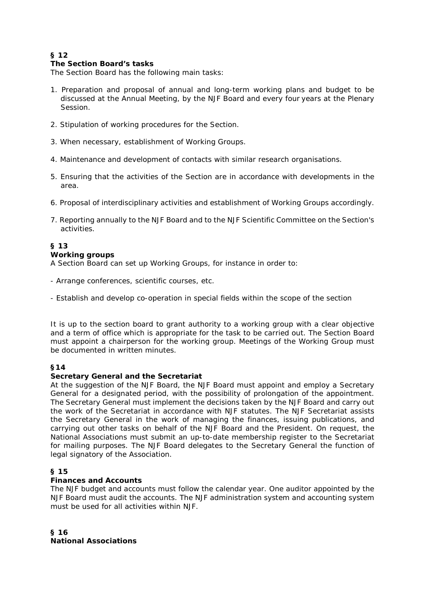# **§ 12**

## **The Section Board's tasks**

The Section Board has the following main tasks:

- 1. Preparation and proposal of annual and long-term working plans and budget to be discussed at the Annual Meeting, by the NJF Board and every four years at the Plenary Session.
- 2. Stipulation of working procedures for the Section.
- 3. When necessary, establishment of Working Groups.
- 4. Maintenance and development of contacts with similar research organisations.
- 5. Ensuring that the activities of the Section are in accordance with developments in the area.
- 6. Proposal of interdisciplinary activities and establishment of Working Groups accordingly.
- 7. Reporting annually to the NJF Board and to the NJF Scientific Committee on the Section's activities.

## **§ 13**

## **Working groups**

A Section Board can set up Working Groups, for instance in order to:

- Arrange conferences, scientific courses, etc.
- Establish and develop co-operation in special fields within the scope of the section

It is up to the section board to grant authority to a working group with a clear objective and a term of office which is appropriate for the task to be carried out. The Section Board must appoint a chairperson for the working group. Meetings of the Working Group must be documented in written minutes.

## **§14**

## **Secretary General and the Secretariat**

At the suggestion of the NJF Board, the NJF Board must appoint and employ a Secretary General for a designated period, with the possibility of prolongation of the appointment. The Secretary General must implement the decisions taken by the NJF Board and carry out the work of the Secretariat in accordance with NJF statutes. The NJF Secretariat assists the Secretary General in the work of managing the finances, issuing publications, and carrying out other tasks on behalf of the NJF Board and the President. On request, the National Associations must submit an up-to-date membership register to the Secretariat for mailing purposes. The NJF Board delegates to the Secretary General the function of legal signatory of the Association.

## **§ 15**

## **Finances and Accounts**

The NJF budget and accounts must follow the calendar year. One auditor appointed by the NJF Board must audit the accounts. The NJF administration system and accounting system must be used for all activities within NJF.